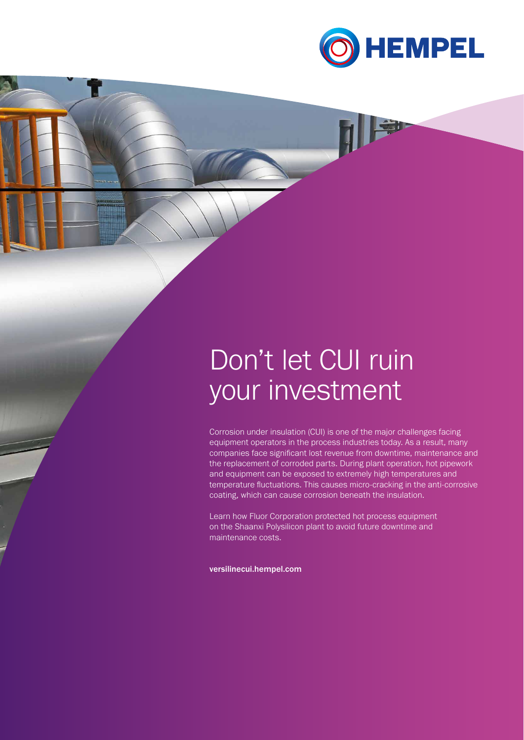

# Don't let CUI ruin your investment

Corrosion under insulation (CUI) is one of the major challenges facing equipment operators in the process industries today. As a result, many companies face significant lost revenue from downtime, maintenance and the replacement of corroded parts. During plant operation, hot pipework and equipment can be exposed to extremely high temperatures and temperature fluctuations. This causes micro-cracking in the anti-corrosive coating, which can cause corrosion beneath the insulation.

Learn how Fluor Corporation protected hot process equipment on the Shaanxi Polysilicon plant to avoid future downtime and maintenance costs.

versilinecui.hempel.com